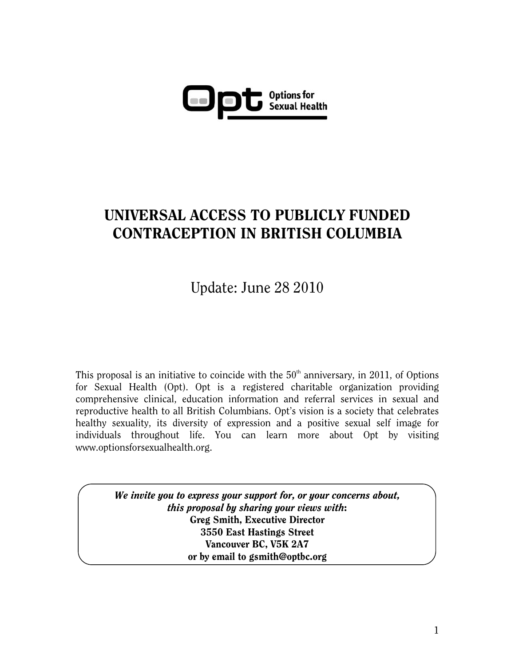

## UNIVERSAL ACCESS TO PUBLICLY FUNDED CONTRACEPTION IN BRITISH COLUMBIA

Update: June 28 2010

This proposal is an initiative to coincide with the  $50<sup>th</sup>$  anniversary, in 2011, of Options for Sexual Health (Opt). Opt is a registered charitable organization providing comprehensive clinical, education information and referral services in sexual and reproductive health to all British Columbians. Opt's vision is a society that celebrates healthy sexuality, its diversity of expression and a positive sexual self image for individuals throughout life. You can learn more about Opt by visiting www.optionsforsexualhealth.org.

> *We invite you to express your support for, or your concerns about, this proposal by sharing your views with*: Greg Smith, Executive Director 3550 East Hastings Street Vancouver BC, V5K 2A7 or by email to gsmith@optbc.org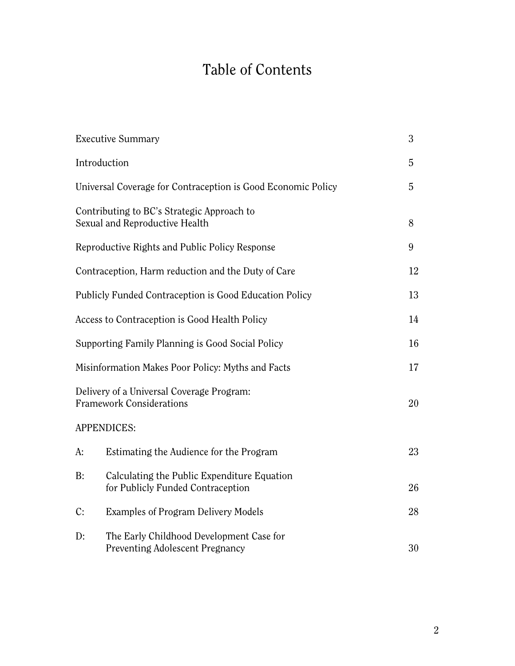# Table of Contents

|                                                                              | <b>Executive Summary</b>                                                           | 3  |
|------------------------------------------------------------------------------|------------------------------------------------------------------------------------|----|
|                                                                              | Introduction                                                                       | 5  |
| Universal Coverage for Contraception is Good Economic Policy                 |                                                                                    | 5  |
|                                                                              | Contributing to BC's Strategic Approach to<br>Sexual and Reproductive Health       | 8  |
| Reproductive Rights and Public Policy Response                               |                                                                                    | 9  |
| Contraception, Harm reduction and the Duty of Care                           |                                                                                    | 12 |
| Publicly Funded Contraception is Good Education Policy                       |                                                                                    | 13 |
| Access to Contraception is Good Health Policy                                |                                                                                    | 14 |
| Supporting Family Planning is Good Social Policy                             |                                                                                    | 16 |
| Misinformation Makes Poor Policy: Myths and Facts                            |                                                                                    | 17 |
| Delivery of a Universal Coverage Program:<br><b>Framework Considerations</b> |                                                                                    | 20 |
|                                                                              | <b>APPENDICES:</b>                                                                 |    |
| A:                                                                           | Estimating the Audience for the Program                                            | 23 |
| B:                                                                           | Calculating the Public Expenditure Equation<br>for Publicly Funded Contraception   | 26 |
| C:                                                                           | <b>Examples of Program Delivery Models</b>                                         | 28 |
| D:                                                                           | The Early Childhood Development Case for<br><b>Preventing Adolescent Pregnancy</b> | 30 |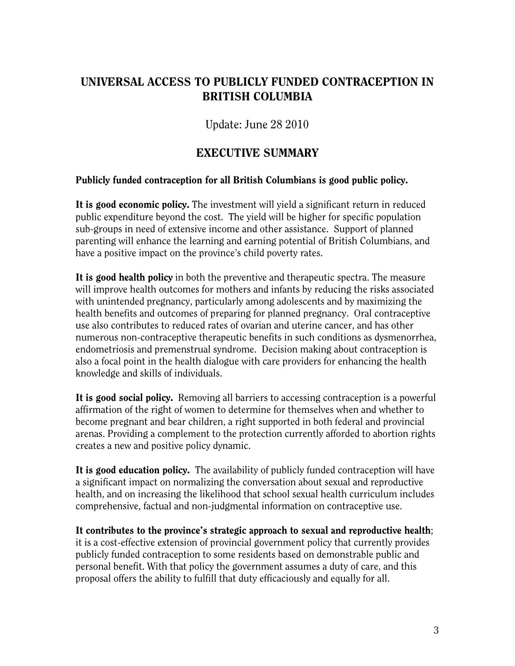## UNIVERSAL ACCESS TO PUBLICLY FUNDED CONTRACEPTION IN BRITISH COLUMBIA

Update: June 28 2010

## EXECUTIVE SUMMARY

#### Publicly funded contraception for all British Columbians is good public policy.

It is good economic policy. The investment will yield a significant return in reduced public expenditure beyond the cost. The yield will be higher for specific population sub-groups in need of extensive income and other assistance. Support of planned parenting will enhance the learning and earning potential of British Columbians, and have a positive impact on the province's child poverty rates.

It is good health policy in both the preventive and therapeutic spectra. The measure will improve health outcomes for mothers and infants by reducing the risks associated with unintended pregnancy, particularly among adolescents and by maximizing the health benefits and outcomes of preparing for planned pregnancy. Oral contraceptive use also contributes to reduced rates of ovarian and uterine cancer, and has other numerous non-contraceptive therapeutic benefits in such conditions as dysmenorrhea, endometriosis and premenstrual syndrome. Decision making about contraception is also a focal point in the health dialogue with care providers for enhancing the health knowledge and skills of individuals.

It is good social policy. Removing all barriers to accessing contraception is a powerful affirmation of the right of women to determine for themselves when and whether to become pregnant and bear children, a right supported in both federal and provincial arenas. Providing a complement to the protection currently afforded to abortion rights creates a new and positive policy dynamic.

It is good education policy. The availability of publicly funded contraception will have a significant impact on normalizing the conversation about sexual and reproductive health, and on increasing the likelihood that school sexual health curriculum includes comprehensive, factual and non-judgmental information on contraceptive use.

It contributes to the province's strategic approach to sexual and reproductive health; it is a cost-effective extension of provincial government policy that currently provides publicly funded contraception to some residents based on demonstrable public and personal benefit. With that policy the government assumes a duty of care, and this proposal offers the ability to fulfill that duty efficaciously and equally for all.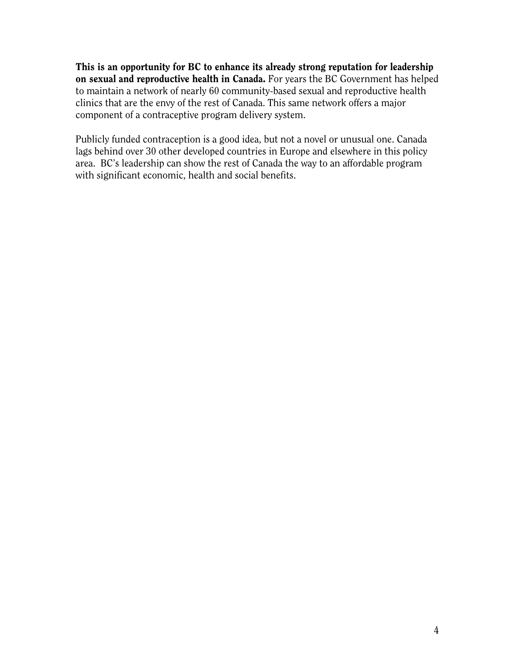This is an opportunity for BC to enhance its already strong reputation for leadership on sexual and reproductive health in Canada. For years the BC Government has helped to maintain a network of nearly 60 community-based sexual and reproductive health clinics that are the envy of the rest of Canada. This same network offers a major component of a contraceptive program delivery system.

Publicly funded contraception is a good idea, but not a novel or unusual one. Canada lags behind over 30 other developed countries in Europe and elsewhere in this policy area. BC's leadership can show the rest of Canada the way to an affordable program with significant economic, health and social benefits.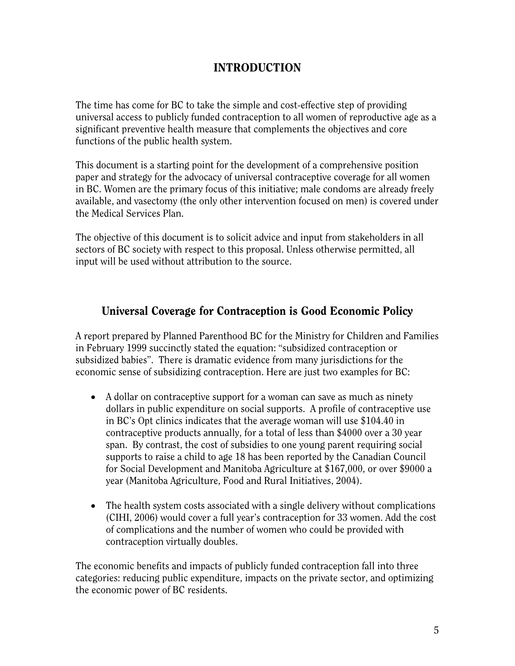## INTRODUCTION

The time has come for BC to take the simple and cost-effective step of providing universal access to publicly funded contraception to all women of reproductive age as a significant preventive health measure that complements the objectives and core functions of the public health system.

This document is a starting point for the development of a comprehensive position paper and strategy for the advocacy of universal contraceptive coverage for all women in BC. Women are the primary focus of this initiative; male condoms are already freely available, and vasectomy (the only other intervention focused on men) is covered under the Medical Services Plan.

The objective of this document is to solicit advice and input from stakeholders in all sectors of BC society with respect to this proposal. Unless otherwise permitted, all input will be used without attribution to the source.

## Universal Coverage for Contraception is Good Economic Policy

A report prepared by Planned Parenthood BC for the Ministry for Children and Families in February 1999 succinctly stated the equation: "subsidized contraception or subsidized babies". There is dramatic evidence from many jurisdictions for the economic sense of subsidizing contraception. Here are just two examples for BC:

- A dollar on contraceptive support for a woman can save as much as ninety dollars in public expenditure on social supports. A profile of contraceptive use in BC's Opt clinics indicates that the average woman will use \$104.40 in contraceptive products annually, for a total of less than \$4000 over a 30 year span. By contrast, the cost of subsidies to one young parent requiring social supports to raise a child to age 18 has been reported by the Canadian Council for Social Development and Manitoba Agriculture at \$167,000, or over \$9000 a year (Manitoba Agriculture, Food and Rural Initiatives, 2004).
- The health system costs associated with a single delivery without complications (CIHI, 2006) would cover a full year's contraception for 33 women. Add the cost of complications and the number of women who could be provided with contraception virtually doubles.

The economic benefits and impacts of publicly funded contraception fall into three categories: reducing public expenditure, impacts on the private sector, and optimizing the economic power of BC residents.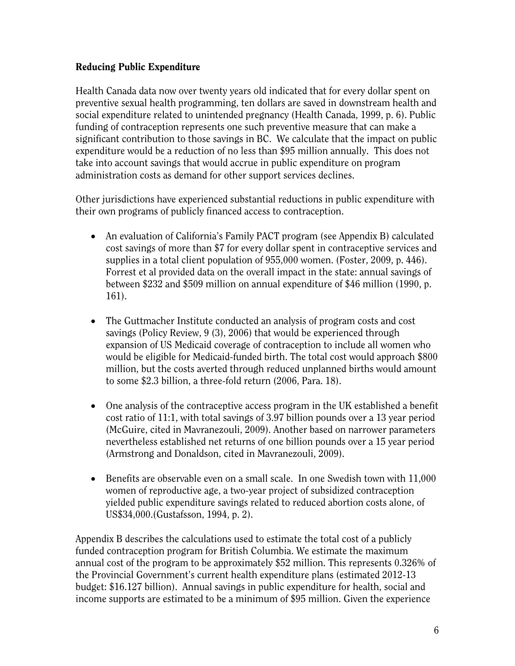#### Reducing Public Expenditure

Health Canada data now over twenty years old indicated that for every dollar spent on preventive sexual health programming, ten dollars are saved in downstream health and social expenditure related to unintended pregnancy (Health Canada, 1999, p. 6). Public funding of contraception represents one such preventive measure that can make a significant contribution to those savings in BC. We calculate that the impact on public expenditure would be a reduction of no less than \$95 million annually. This does not take into account savings that would accrue in public expenditure on program administration costs as demand for other support services declines.

Other jurisdictions have experienced substantial reductions in public expenditure with their own programs of publicly financed access to contraception.

- An evaluation of California's Family PACT program (see Appendix B) calculated cost savings of more than \$7 for every dollar spent in contraceptive services and supplies in a total client population of 955,000 women. (Foster, 2009, p. 446). Forrest et al provided data on the overall impact in the state: annual savings of between \$232 and \$509 million on annual expenditure of \$46 million (1990, p. 161).
- The Guttmacher Institute conducted an analysis of program costs and cost savings (Policy Review, 9 (3), 2006) that would be experienced through expansion of US Medicaid coverage of contraception to include all women who would be eligible for Medicaid-funded birth. The total cost would approach \$800 million, but the costs averted through reduced unplanned births would amount to some \$2.3 billion, a three-fold return (2006, Para. 18).
- One analysis of the contraceptive access program in the UK established a benefit cost ratio of 11:1, with total savings of 3.97 billion pounds over a 13 year period (McGuire, cited in Mavranezouli, 2009). Another based on narrower parameters nevertheless established net returns of one billion pounds over a 15 year period (Armstrong and Donaldson, cited in Mavranezouli, 2009).
- Benefits are observable even on a small scale. In one Swedish town with 11,000 women of reproductive age, a two-year project of subsidized contraception yielded public expenditure savings related to reduced abortion costs alone, of US\$34,000.(Gustafsson, 1994, p. 2).

Appendix B describes the calculations used to estimate the total cost of a publicly funded contraception program for British Columbia. We estimate the maximum annual cost of the program to be approximately \$52 million. This represents 0.326% of the Provincial Government's current health expenditure plans (estimated 2012-13 budget: \$16.127 billion). Annual savings in public expenditure for health, social and income supports are estimated to be a minimum of \$95 million. Given the experience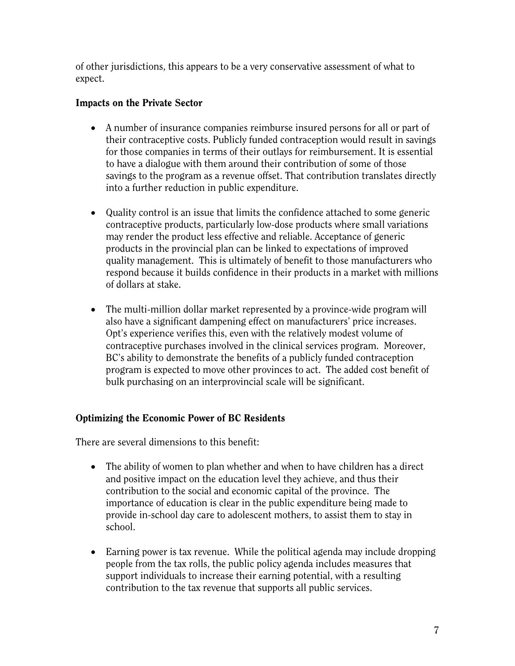of other jurisdictions, this appears to be a very conservative assessment of what to expect.

#### Impacts on the Private Sector

- A number of insurance companies reimburse insured persons for all or part of their contraceptive costs. Publicly funded contraception would result in savings for those companies in terms of their outlays for reimbursement. It is essential to have a dialogue with them around their contribution of some of those savings to the program as a revenue offset. That contribution translates directly into a further reduction in public expenditure.
- Quality control is an issue that limits the confidence attached to some generic contraceptive products, particularly low-dose products where small variations may render the product less effective and reliable. Acceptance of generic products in the provincial plan can be linked to expectations of improved quality management. This is ultimately of benefit to those manufacturers who respond because it builds confidence in their products in a market with millions of dollars at stake.
- The multi-million dollar market represented by a province-wide program will also have a significant dampening effect on manufacturers' price increases. Opt's experience verifies this, even with the relatively modest volume of contraceptive purchases involved in the clinical services program. Moreover, BC's ability to demonstrate the benefits of a publicly funded contraception program is expected to move other provinces to act. The added cost benefit of bulk purchasing on an interprovincial scale will be significant.

## Optimizing the Economic Power of BC Residents

There are several dimensions to this benefit:

- The ability of women to plan whether and when to have children has a direct and positive impact on the education level they achieve, and thus their contribution to the social and economic capital of the province. The importance of education is clear in the public expenditure being made to provide in-school day care to adolescent mothers, to assist them to stay in school.
- Earning power is tax revenue. While the political agenda may include dropping people from the tax rolls, the public policy agenda includes measures that support individuals to increase their earning potential, with a resulting contribution to the tax revenue that supports all public services.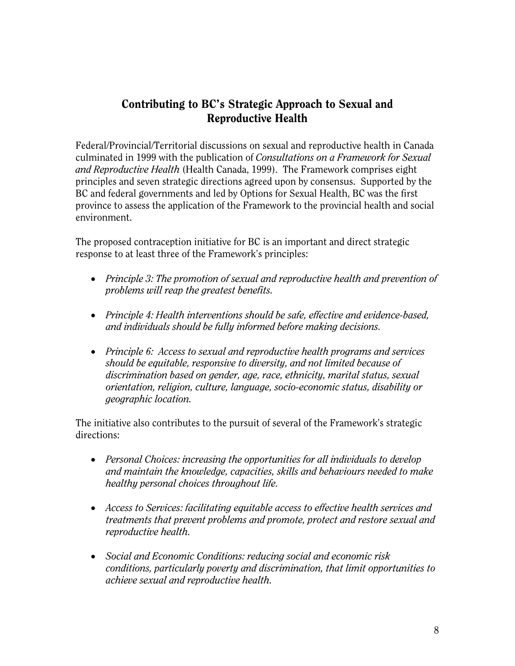## Contributing to BC's Strategic Approach to Sexual and Reproductive Health

Federal/Provincial/Territorial discussions on sexual and reproductive health in Canada culminated in 1999 with the publication of *Consultations on a Framework for Sexual and Reproductive Health* (Health Canada, 1999). The Framework comprises eight principles and seven strategic directions agreed upon by consensus. Supported by the BC and federal governments and led by Options for Sexual Health, BC was the first province to assess the application of the Framework to the provincial health and social environment.

The proposed contraception initiative for BC is an important and direct strategic response to at least three of the Framework's principles:

- *Principle 3: The promotion of sexual and reproductive health and prevention of problems will reap the greatest benefits.*
- *Principle 4: Health interventions should be safe, effective and evidence-based, and individuals should be fully informed before making decisions.*
- *Principle 6: Access to sexual and reproductive health programs and services should be equitable, responsive to diversity, and not limited because of discrimination based on gender, age, race, ethnicity, marital status, sexual orientation, religion, culture, language, socio-economic status, disability or geographic location.*

The initiative also contributes to the pursuit of several of the Framework's strategic directions:

- *Personal Choices: increasing the opportunities for all individuals to develop and maintain the knowledge, capacities, skills and behaviours needed to make healthy personal choices throughout life.*
- *Access to Services: facilitating equitable access to effective health services and treatments that prevent problems and promote, protect and restore sexual and reproductive health.*
- *Social and Economic Conditions: reducing social and economic risk conditions, particularly poverty and discrimination, that limit opportunities to achieve sexual and reproductive health.*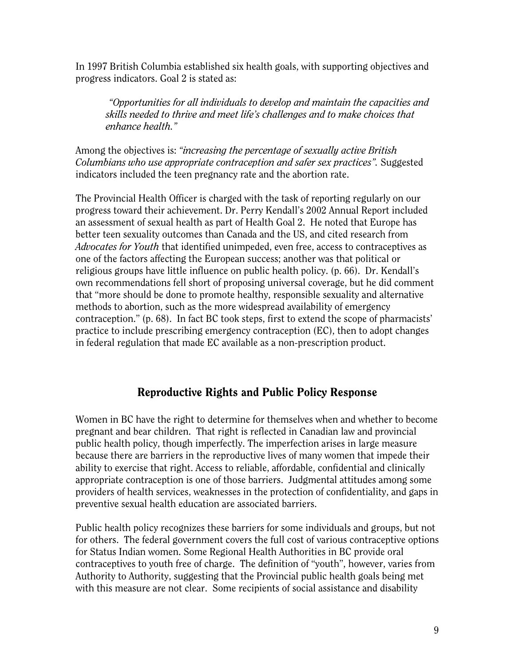In 1997 British Columbia established six health goals, with supporting objectives and progress indicators. Goal 2 is stated as:

*"Opportunities for all individuals to develop and maintain the capacities and skills needed to thrive and meet life's challenges and to make choices that enhance health."* 

Among the objectives is: *"increasing the percentage of sexually active British Columbians who use appropriate contraception and safer sex practices".* Suggested indicators included the teen pregnancy rate and the abortion rate.

The Provincial Health Officer is charged with the task of reporting regularly on our progress toward their achievement. Dr. Perry Kendall's 2002 Annual Report included an assessment of sexual health as part of Health Goal 2. He noted that Europe has better teen sexuality outcomes than Canada and the US, and cited research from *Advocates for Youth* that identified unimpeded, even free, access to contraceptives as one of the factors affecting the European success; another was that political or religious groups have little influence on public health policy. (p. 66). Dr. Kendall's own recommendations fell short of proposing universal coverage, but he did comment that "more should be done to promote healthy, responsible sexuality and alternative methods to abortion, such as the more widespread availability of emergency contraception." (p. 68). In fact BC took steps, first to extend the scope of pharmacists' practice to include prescribing emergency contraception (EC), then to adopt changes in federal regulation that made EC available as a non-prescription product.

## Reproductive Rights and Public Policy Response

Women in BC have the right to determine for themselves when and whether to become pregnant and bear children. That right is reflected in Canadian law and provincial public health policy, though imperfectly. The imperfection arises in large measure because there are barriers in the reproductive lives of many women that impede their ability to exercise that right. Access to reliable, affordable, confidential and clinically appropriate contraception is one of those barriers. Judgmental attitudes among some providers of health services, weaknesses in the protection of confidentiality, and gaps in preventive sexual health education are associated barriers.

Public health policy recognizes these barriers for some individuals and groups, but not for others. The federal government covers the full cost of various contraceptive options for Status Indian women. Some Regional Health Authorities in BC provide oral contraceptives to youth free of charge. The definition of "youth", however, varies from Authority to Authority, suggesting that the Provincial public health goals being met with this measure are not clear. Some recipients of social assistance and disability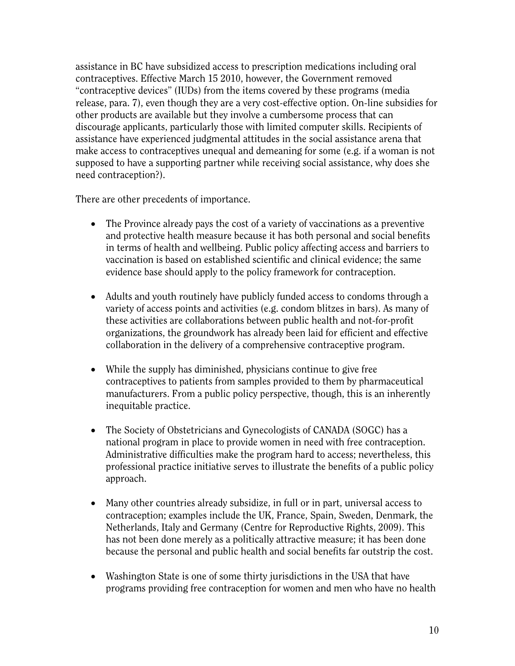assistance in BC have subsidized access to prescription medications including oral contraceptives. Effective March 15 2010, however, the Government removed "contraceptive devices" (IUDs) from the items covered by these programs (media release, para. 7), even though they are a very cost-effective option. On-line subsidies for other products are available but they involve a cumbersome process that can discourage applicants, particularly those with limited computer skills. Recipients of assistance have experienced judgmental attitudes in the social assistance arena that make access to contraceptives unequal and demeaning for some (e.g. if a woman is not supposed to have a supporting partner while receiving social assistance, why does she need contraception?).

There are other precedents of importance.

- The Province already pays the cost of a variety of vaccinations as a preventive and protective health measure because it has both personal and social benefits in terms of health and wellbeing. Public policy affecting access and barriers to vaccination is based on established scientific and clinical evidence; the same evidence base should apply to the policy framework for contraception.
- Adults and youth routinely have publicly funded access to condoms through a variety of access points and activities (e.g. condom blitzes in bars). As many of these activities are collaborations between public health and not-for-profit organizations, the groundwork has already been laid for efficient and effective collaboration in the delivery of a comprehensive contraceptive program.
- While the supply has diminished, physicians continue to give free contraceptives to patients from samples provided to them by pharmaceutical manufacturers. From a public policy perspective, though, this is an inherently inequitable practice.
- The Society of Obstetricians and Gynecologists of CANADA (SOGC) has a national program in place to provide women in need with free contraception. Administrative difficulties make the program hard to access; nevertheless, this professional practice initiative serves to illustrate the benefits of a public policy approach.
- Many other countries already subsidize, in full or in part, universal access to contraception; examples include the UK, France, Spain, Sweden, Denmark, the Netherlands, Italy and Germany (Centre for Reproductive Rights, 2009). This has not been done merely as a politically attractive measure; it has been done because the personal and public health and social benefits far outstrip the cost.
- Washington State is one of some thirty jurisdictions in the USA that have programs providing free contraception for women and men who have no health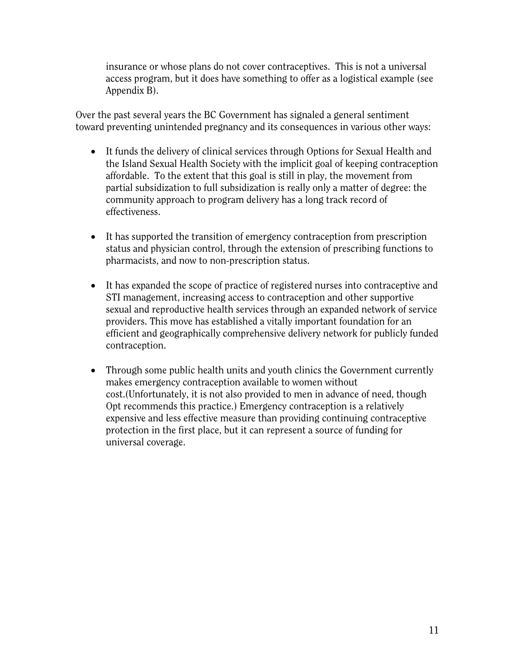insurance or whose plans do not cover contraceptives. This is not a universal access program, but it does have something to offer as a logistical example (see Appendix B).

Over the past several years the BC Government has signaled a general sentiment toward preventing unintended pregnancy and its consequences in various other ways:

- It funds the delivery of clinical services through Options for Sexual Health and the Island Sexual Health Society with the implicit goal of keeping contraception affordable. To the extent that this goal is still in play, the movement from partial subsidization to full subsidization is really only a matter of degree: the community approach to program delivery has a long track record of effectiveness.
- It has supported the transition of emergency contraception from prescription status and physician control, through the extension of prescribing functions to pharmacists, and now to non-prescription status.
- It has expanded the scope of practice of registered nurses into contraceptive and STI management, increasing access to contraception and other supportive sexual and reproductive health services through an expanded network of service providers. This move has established a vitally important foundation for an efficient and geographically comprehensive delivery network for publicly funded contraception.
- Through some public health units and youth clinics the Government currently makes emergency contraception available to women without cost.(Unfortunately, it is not also provided to men in advance of need, though Opt recommends this practice.) Emergency contraception is a relatively expensive and less effective measure than providing continuing contraceptive protection in the first place, but it can represent a source of funding for universal coverage.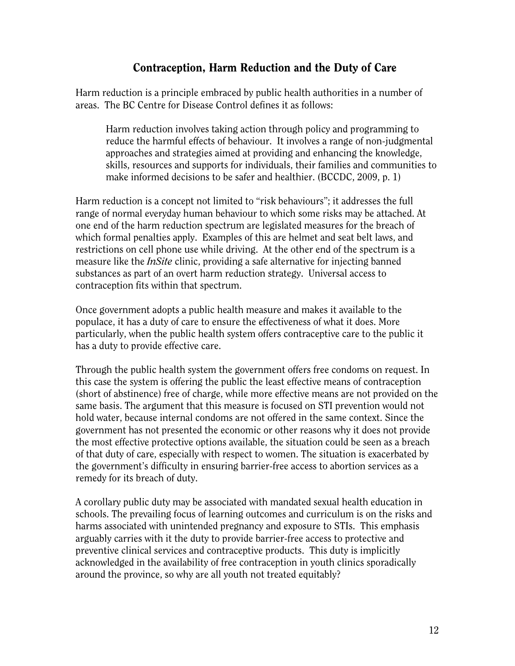## Contraception, Harm Reduction and the Duty of Care

Harm reduction is a principle embraced by public health authorities in a number of areas. The BC Centre for Disease Control defines it as follows:

Harm reduction involves taking action through policy and programming to reduce the harmful effects of behaviour. It involves a range of non-judgmental approaches and strategies aimed at providing and enhancing the knowledge, skills, resources and supports for individuals, their families and communities to make informed decisions to be safer and healthier. (BCCDC, 2009, p. 1)

Harm reduction is a concept not limited to "risk behaviours"; it addresses the full range of normal everyday human behaviour to which some risks may be attached. At one end of the harm reduction spectrum are legislated measures for the breach of which formal penalties apply. Examples of this are helmet and seat belt laws, and restrictions on cell phone use while driving. At the other end of the spectrum is a measure like the *InSite* clinic, providing a safe alternative for injecting banned substances as part of an overt harm reduction strategy. Universal access to contraception fits within that spectrum.

Once government adopts a public health measure and makes it available to the populace, it has a duty of care to ensure the effectiveness of what it does. More particularly, when the public health system offers contraceptive care to the public it has a duty to provide effective care.

Through the public health system the government offers free condoms on request. In this case the system is offering the public the least effective means of contraception (short of abstinence) free of charge, while more effective means are not provided on the same basis. The argument that this measure is focused on STI prevention would not hold water, because internal condoms are not offered in the same context. Since the government has not presented the economic or other reasons why it does not provide the most effective protective options available, the situation could be seen as a breach of that duty of care, especially with respect to women. The situation is exacerbated by the government's difficulty in ensuring barrier-free access to abortion services as a remedy for its breach of duty.

A corollary public duty may be associated with mandated sexual health education in schools. The prevailing focus of learning outcomes and curriculum is on the risks and harms associated with unintended pregnancy and exposure to STIs. This emphasis arguably carries with it the duty to provide barrier-free access to protective and preventive clinical services and contraceptive products. This duty is implicitly acknowledged in the availability of free contraception in youth clinics sporadically around the province, so why are all youth not treated equitably?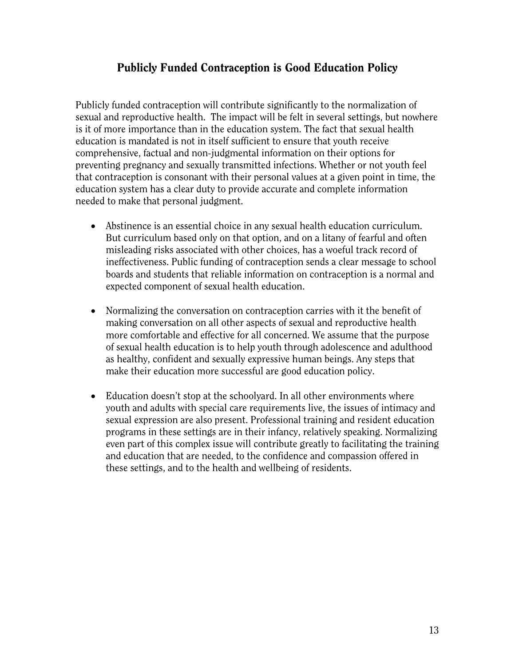## Publicly Funded Contraception is Good Education Policy

Publicly funded contraception will contribute significantly to the normalization of sexual and reproductive health. The impact will be felt in several settings, but nowhere is it of more importance than in the education system. The fact that sexual health education is mandated is not in itself sufficient to ensure that youth receive comprehensive, factual and non-judgmental information on their options for preventing pregnancy and sexually transmitted infections. Whether or not youth feel that contraception is consonant with their personal values at a given point in time, the education system has a clear duty to provide accurate and complete information needed to make that personal judgment.

- Abstinence is an essential choice in any sexual health education curriculum. But curriculum based only on that option, and on a litany of fearful and often misleading risks associated with other choices, has a woeful track record of ineffectiveness. Public funding of contraception sends a clear message to school boards and students that reliable information on contraception is a normal and expected component of sexual health education.
- Normalizing the conversation on contraception carries with it the benefit of making conversation on all other aspects of sexual and reproductive health more comfortable and effective for all concerned. We assume that the purpose of sexual health education is to help youth through adolescence and adulthood as healthy, confident and sexually expressive human beings. Any steps that make their education more successful are good education policy.
- Education doesn't stop at the schoolyard. In all other environments where youth and adults with special care requirements live, the issues of intimacy and sexual expression are also present. Professional training and resident education programs in these settings are in their infancy, relatively speaking. Normalizing even part of this complex issue will contribute greatly to facilitating the training and education that are needed, to the confidence and compassion offered in these settings, and to the health and wellbeing of residents.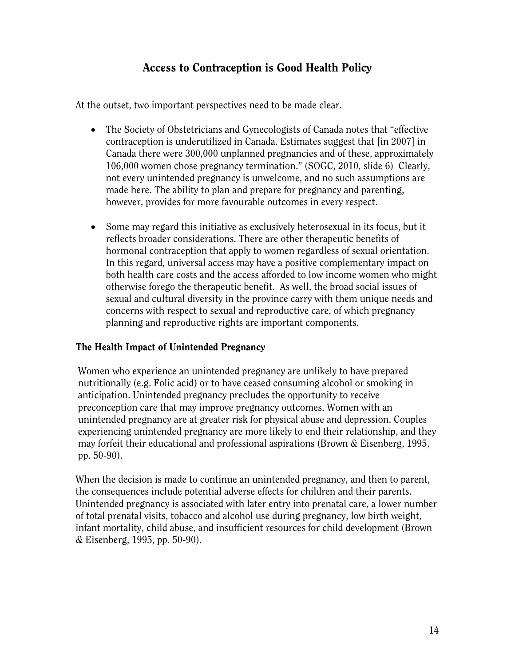## Access to Contraception is Good Health Policy

At the outset, two important perspectives need to be made clear.

- The Society of Obstetricians and Gynecologists of Canada notes that "effective contraception is underutilized in Canada. Estimates suggest that [in 2007] in Canada there were 300,000 unplanned pregnancies and of these, approximately 106,000 women chose pregnancy termination." (SOGC, 2010, slide 6) Clearly, not every unintended pregnancy is unwelcome, and no such assumptions are made here. The ability to plan and prepare for pregnancy and parenting, however, provides for more favourable outcomes in every respect.
- Some may regard this initiative as exclusively heterosexual in its focus, but it reflects broader considerations. There are other therapeutic benefits of hormonal contraception that apply to women regardless of sexual orientation. In this regard, universal access may have a positive complementary impact on both health care costs and the access afforded to low income women who might otherwise forego the therapeutic benefit. As well, the broad social issues of sexual and cultural diversity in the province carry with them unique needs and concerns with respect to sexual and reproductive care, of which pregnancy planning and reproductive rights are important components.

#### The Health Impact of Unintended Pregnancy

Women who experience an unintended pregnancy are unlikely to have prepared nutritionally (e.g. Folic acid) or to have ceased consuming alcohol or smoking in anticipation. Unintended pregnancy precludes the opportunity to receive preconception care that may improve pregnancy outcomes. Women with an unintended pregnancy are at greater risk for physical abuse and depression. Couples experiencing unintended pregnancy are more likely to end their relationship, and they may forfeit their educational and professional aspirations (Brown & Eisenberg, 1995, pp. 50-90).

When the decision is made to continue an unintended pregnancy, and then to parent, the consequences include potential adverse effects for children and their parents. Unintended pregnancy is associated with later entry into prenatal care, a lower number of total prenatal visits, tobacco and alcohol use during pregnancy, low birth weight, infant mortality, child abuse, and insufficient resources for child development (Brown & Eisenberg, 1995, pp. 50-90).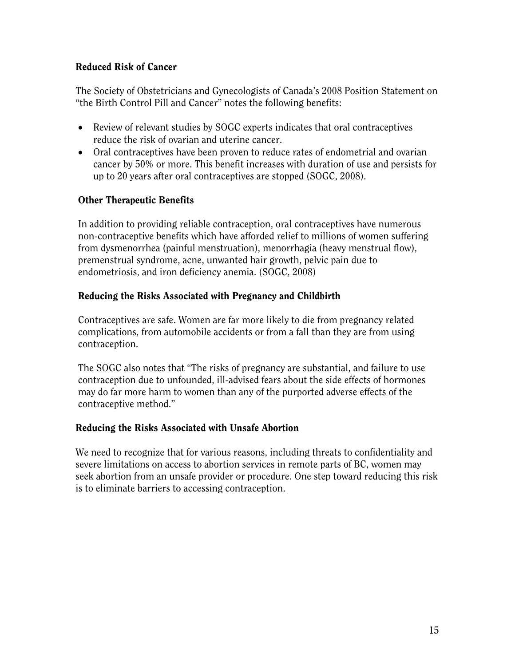#### Reduced Risk of Cancer

The Society of Obstetricians and Gynecologists of Canada's 2008 Position Statement on "the Birth Control Pill and Cancer" notes the following benefits:

- Review of relevant studies by SOGC experts indicates that oral contraceptives reduce the risk of ovarian and uterine cancer.
- Oral contraceptives have been proven to reduce rates of endometrial and ovarian cancer by 50% or more. This benefit increases with duration of use and persists for up to 20 years after oral contraceptives are stopped (SOGC, 2008).

#### Other Therapeutic Benefits

In addition to providing reliable contraception, oral contraceptives have numerous non-contraceptive benefits which have afforded relief to millions of women suffering from dysmenorrhea (painful menstruation), menorrhagia (heavy menstrual flow), premenstrual syndrome, acne, unwanted hair growth, pelvic pain due to endometriosis, and iron deficiency anemia. (SOGC, 2008)

#### Reducing the Risks Associated with Pregnancy and Childbirth

Contraceptives are safe. Women are far more likely to die from pregnancy related complications, from automobile accidents or from a fall than they are from using contraception.

The SOGC also notes that "The risks of pregnancy are substantial, and failure to use contraception due to unfounded, ill-advised fears about the side effects of hormones may do far more harm to women than any of the purported adverse effects of the contraceptive method."

#### Reducing the Risks Associated with Unsafe Abortion

We need to recognize that for various reasons, including threats to confidentiality and severe limitations on access to abortion services in remote parts of BC, women may seek abortion from an unsafe provider or procedure. One step toward reducing this risk is to eliminate barriers to accessing contraception.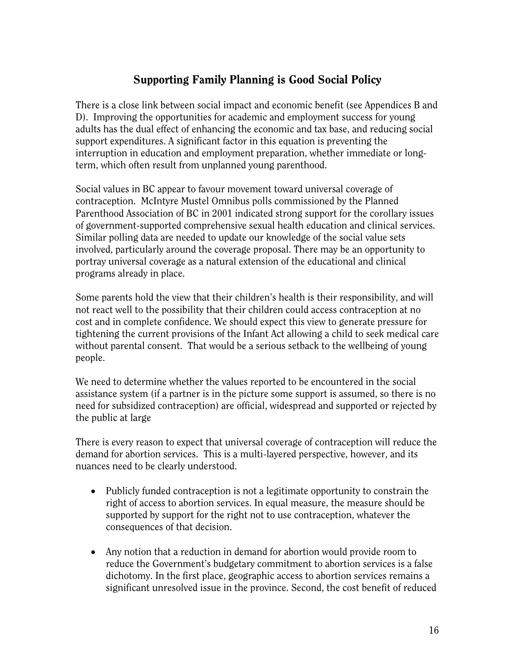## Supporting Family Planning is Good Social Policy

There is a close link between social impact and economic benefit (see Appendices B and D). Improving the opportunities for academic and employment success for young adults has the dual effect of enhancing the economic and tax base, and reducing social support expenditures. A significant factor in this equation is preventing the interruption in education and employment preparation, whether immediate or longterm, which often result from unplanned young parenthood.

Social values in BC appear to favour movement toward universal coverage of contraception. McIntyre Mustel Omnibus polls commissioned by the Planned Parenthood Association of BC in 2001 indicated strong support for the corollary issues of government-supported comprehensive sexual health education and clinical services. Similar polling data are needed to update our knowledge of the social value sets involved, particularly around the coverage proposal. There may be an opportunity to portray universal coverage as a natural extension of the educational and clinical programs already in place.

Some parents hold the view that their children's health is their responsibility, and will not react well to the possibility that their children could access contraception at no cost and in complete confidence. We should expect this view to generate pressure for tightening the current provisions of the Infant Act allowing a child to seek medical care without parental consent. That would be a serious setback to the wellbeing of young people.

We need to determine whether the values reported to be encountered in the social assistance system (if a partner is in the picture some support is assumed, so there is no need for subsidized contraception) are official, widespread and supported or rejected by the public at large

There is every reason to expect that universal coverage of contraception will reduce the demand for abortion services. This is a multi-layered perspective, however, and its nuances need to be clearly understood.

- Publicly funded contraception is not a legitimate opportunity to constrain the right of access to abortion services. In equal measure, the measure should be supported by support for the right not to use contraception, whatever the consequences of that decision.
- Any notion that a reduction in demand for abortion would provide room to reduce the Government's budgetary commitment to abortion services is a false dichotomy. In the first place, geographic access to abortion services remains a significant unresolved issue in the province. Second, the cost benefit of reduced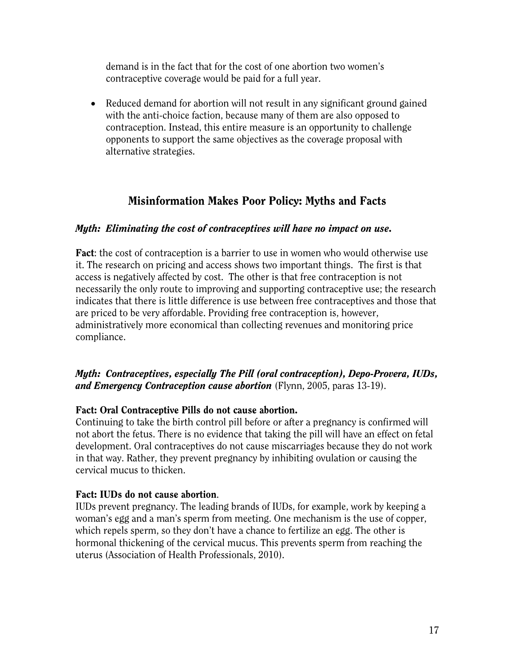demand is in the fact that for the cost of one abortion two women's contraceptive coverage would be paid for a full year.

• Reduced demand for abortion will not result in any significant ground gained with the anti-choice faction, because many of them are also opposed to contraception. Instead, this entire measure is an opportunity to challenge opponents to support the same objectives as the coverage proposal with alternative strategies.

## Misinformation Makes Poor Policy: Myths and Facts

#### *Myth: Eliminating the cost of contraceptives will have no impact on use.*

Fact: the cost of contraception is a barrier to use in women who would otherwise use it. The research on pricing and access shows two important things. The first is that access is negatively affected by cost. The other is that free contraception is not necessarily the only route to improving and supporting contraceptive use; the research indicates that there is little difference is use between free contraceptives and those that are priced to be very affordable. Providing free contraception is, however, administratively more economical than collecting revenues and monitoring price compliance.

#### *Myth: Contraceptives, especially The Pill (oral contraception), Depo-Provera, IUDs, and Emergency Contraception cause abortion* (Flynn, 2005, paras 13-19).

#### Fact: Oral Contraceptive Pills do not cause abortion.

Continuing to take the birth control pill before or after a pregnancy is confirmed will not abort the fetus. There is no evidence that taking the pill will have an effect on fetal development. Oral contraceptives do not cause miscarriages because they do not work in that way. Rather, they prevent pregnancy by inhibiting ovulation or causing the cervical mucus to thicken.

#### Fact: IUDs do not cause abortion.

IUDs prevent pregnancy. The leading brands of IUDs, for example, work by keeping a woman's egg and a man's sperm from meeting. One mechanism is the use of copper, which repels sperm, so they don't have a chance to fertilize an egg. The other is hormonal thickening of the cervical mucus. This prevents sperm from reaching the uterus (Association of Health Professionals, 2010).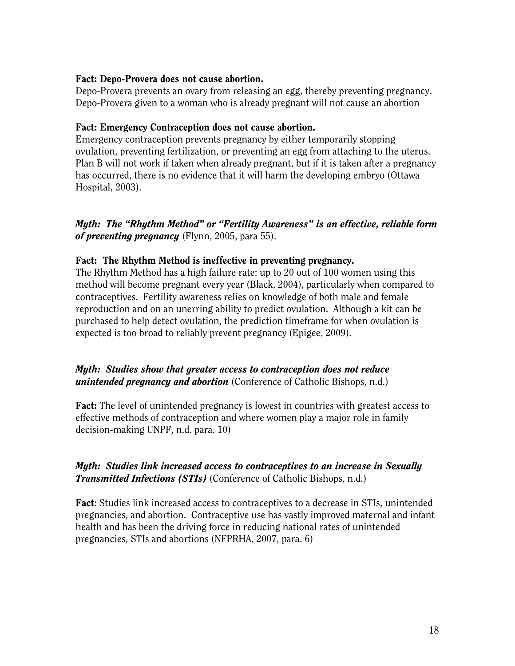#### Fact: Depo-Provera does not cause abortion.

Depo-Provera prevents an ovary from releasing an egg, thereby preventing pregnancy. Depo-Provera given to a woman who is already pregnant will not cause an abortion

#### Fact: Emergency Contraception does not cause abortion.

Emergency contraception prevents pregnancy by either temporarily stopping ovulation, preventing fertilization, or preventing an egg from attaching to the uterus. Plan B will not work if taken when already pregnant, but if it is taken after a pregnancy has occurred, there is no evidence that it will harm the developing embryo (Ottawa Hospital, 2003).

*Myth: The "Rhythm Method" or "Fertility Awareness" is an effective, reliable form of preventing pregnancy* (Flynn, 2005, para 55).

#### Fact: The Rhythm Method is ineffective in preventing pregnancy.

The Rhythm Method has a high failure rate: up to 20 out of 100 women using this method will become pregnant every year (Black, 2004), particularly when compared to contraceptives. Fertility awareness relies on knowledge of both male and female reproduction and on an unerring ability to predict ovulation. Although a kit can be purchased to help detect ovulation, the prediction timeframe for when ovulation is expected is too broad to reliably prevent pregnancy (Epigee, 2009).

#### *Myth: Studies show that greater access to contraception does not reduce unintended pregnancy and abortion* (Conference of Catholic Bishops, n.d.)

Fact: The level of unintended pregnancy is lowest in countries with greatest access to effective methods of contraception and where women play a major role in family decision-making UNPF, n.d. para. 10)

#### *Myth: Studies link increased access to contraceptives to an increase in Sexually Transmitted Infections (STIs)* (Conference of Catholic Bishops, n.d.)

Fact: Studies link increased access to contraceptives to a decrease in STIs, unintended pregnancies, and abortion. Contraceptive use has vastly improved maternal and infant health and has been the driving force in reducing national rates of unintended pregnancies, STIs and abortions (NFPRHA, 2007, para. 6)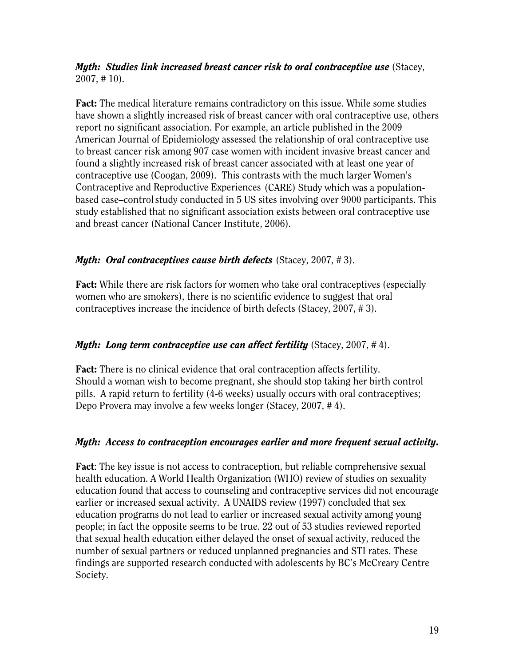*Myth: Studies link increased breast cancer risk to oral contraceptive use* (Stacey, 2007, # 10).

Fact: The medical literature remains contradictory on this issue. While some studies have shown a slightly increased risk of breast cancer with oral contraceptive use, others report no significant association. For example, an article published in the 2009 American Journal of Epidemiology assessed the relationship of oral contraceptive use to breast cancer risk among 907 case women with incident invasive breast cancer and found a slightly increased risk of breast cancer associated with at least one year of contraceptive use (Coogan, 2009). This contrasts with the much larger Women's Contraceptive and Reproductive Experiences (CARE) Study which was a populationbased case–control study conducted in 5 US sites involving over 9000 participants. This study established that no significant association exists between oral contraceptive use and breast cancer (National Cancer Institute, 2006).

#### *Myth: Oral contraceptives cause birth defects* (Stacey, 2007, # 3).

Fact: While there are risk factors for women who take oral contraceptives (especially women who are smokers), there is no scientific evidence to suggest that oral contraceptives increase the incidence of birth defects (Stacey, 2007, # 3).

#### *Myth: Long term contraceptive use can affect fertility* (Stacey, 2007, # 4).

Fact: There is no clinical evidence that oral contraception affects fertility. Should a woman wish to become pregnant, she should stop taking her birth control pills. A rapid return to fertility (4-6 weeks) usually occurs with oral contraceptives; Depo Provera may involve a few weeks longer (Stacey, 2007, # 4).

#### *Myth: Access to contraception encourages earlier and more frequent sexual activity.*

Fact: The key issue is not access to contraception, but reliable comprehensive sexual health education. A World Health Organization (WHO) review of studies on sexuality education found that access to counseling and contraceptive services did not encourage earlier or increased sexual activity. A UNAIDS review (1997) concluded that sex education programs do not lead to earlier or increased sexual activity among young people; in fact the opposite seems to be true. 22 out of 53 studies reviewed reported that sexual health education either delayed the onset of sexual activity, reduced the number of sexual partners or reduced unplanned pregnancies and STI rates. These findings are supported research conducted with adolescents by BC's McCreary Centre Society.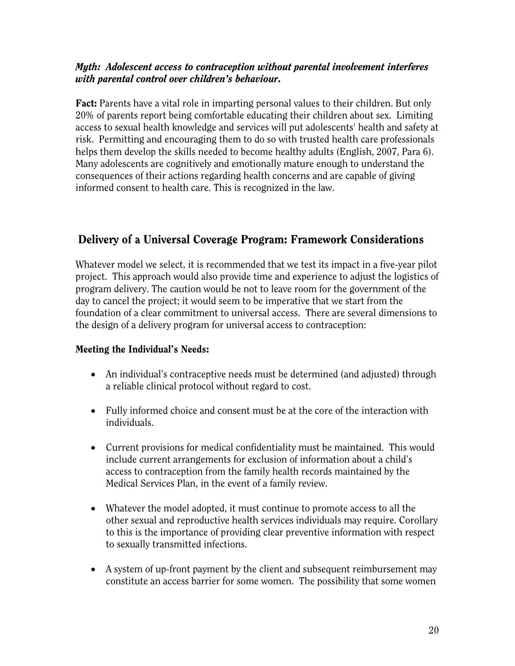#### *Myth: Adolescent access to contraception without parental involvement interferes with parental control over children's behaviour.*

Fact: Parents have a vital role in imparting personal values to their children. But only 20% of parents report being comfortable educating their children about sex. Limiting access to sexual health knowledge and services will put adolescents' health and safety at risk. Permitting and encouraging them to do so with trusted health care professionals helps them develop the skills needed to become healthy adults (English, 2007, Para 6). Many adolescents are cognitively and emotionally mature enough to understand the consequences of their actions regarding health concerns and are capable of giving informed consent to health care. This is recognized in the law.

## Delivery of a Universal Coverage Program: Framework Considerations

Whatever model we select, it is recommended that we test its impact in a five-year pilot project. This approach would also provide time and experience to adjust the logistics of program delivery. The caution would be not to leave room for the government of the day to cancel the project; it would seem to be imperative that we start from the foundation of a clear commitment to universal access. There are several dimensions to the design of a delivery program for universal access to contraception:

#### Meeting the Individual's Needs:

- An individual's contraceptive needs must be determined (and adjusted) through a reliable clinical protocol without regard to cost.
- Fully informed choice and consent must be at the core of the interaction with individuals.
- Current provisions for medical confidentiality must be maintained. This would include current arrangements for exclusion of information about a child's access to contraception from the family health records maintained by the Medical Services Plan, in the event of a family review.
- Whatever the model adopted, it must continue to promote access to all the other sexual and reproductive health services individuals may require. Corollary to this is the importance of providing clear preventive information with respect to sexually transmitted infections.
- A system of up-front payment by the client and subsequent reimbursement may constitute an access barrier for some women. The possibility that some women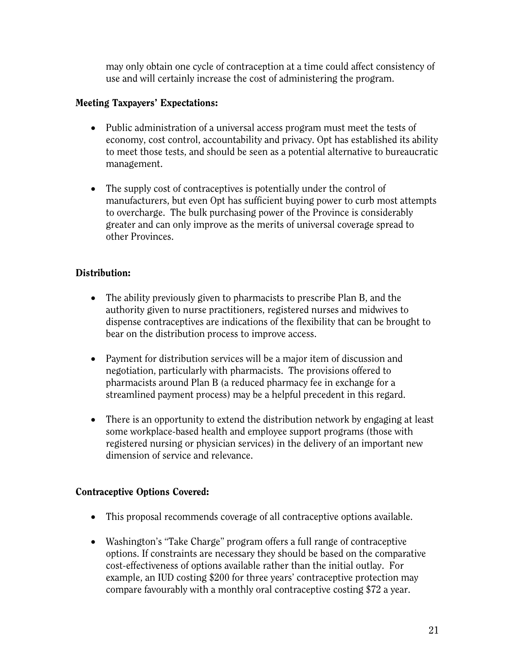may only obtain one cycle of contraception at a time could affect consistency of use and will certainly increase the cost of administering the program.

#### Meeting Taxpayers' Expectations:

- Public administration of a universal access program must meet the tests of economy, cost control, accountability and privacy. Opt has established its ability to meet those tests, and should be seen as a potential alternative to bureaucratic management.
- The supply cost of contraceptives is potentially under the control of manufacturers, but even Opt has sufficient buying power to curb most attempts to overcharge. The bulk purchasing power of the Province is considerably greater and can only improve as the merits of universal coverage spread to other Provinces.

#### Distribution:

- The ability previously given to pharmacists to prescribe Plan B, and the authority given to nurse practitioners, registered nurses and midwives to dispense contraceptives are indications of the flexibility that can be brought to bear on the distribution process to improve access.
- Payment for distribution services will be a major item of discussion and negotiation, particularly with pharmacists. The provisions offered to pharmacists around Plan B (a reduced pharmacy fee in exchange for a streamlined payment process) may be a helpful precedent in this regard.
- There is an opportunity to extend the distribution network by engaging at least some workplace-based health and employee support programs (those with registered nursing or physician services) in the delivery of an important new dimension of service and relevance.

#### Contraceptive Options Covered:

- This proposal recommends coverage of all contraceptive options available.
- Washington's "Take Charge" program offers a full range of contraceptive options. If constraints are necessary they should be based on the comparative cost-effectiveness of options available rather than the initial outlay. For example, an IUD costing \$200 for three years' contraceptive protection may compare favourably with a monthly oral contraceptive costing \$72 a year.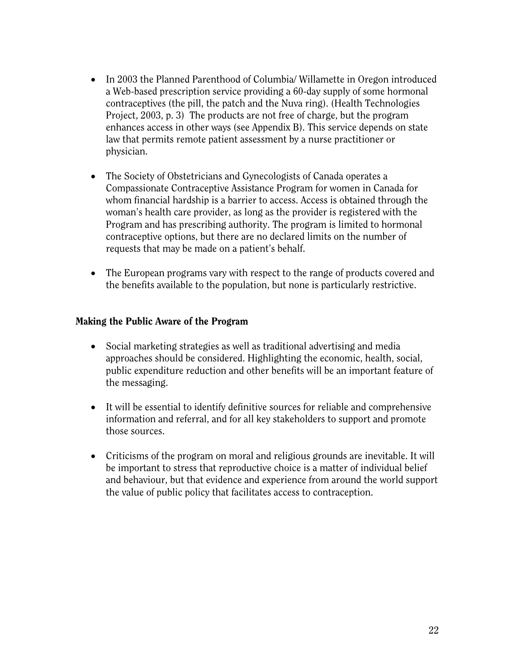- In 2003 the Planned Parenthood of Columbia/ Willamette in Oregon introduced a Web-based prescription service providing a 60-day supply of some hormonal contraceptives (the pill, the patch and the Nuva ring). (Health Technologies Project, 2003, p. 3) The products are not free of charge, but the program enhances access in other ways (see Appendix B). This service depends on state law that permits remote patient assessment by a nurse practitioner or physician.
- The Society of Obstetricians and Gynecologists of Canada operates a Compassionate Contraceptive Assistance Program for women in Canada for whom financial hardship is a barrier to access. Access is obtained through the woman's health care provider, as long as the provider is registered with the Program and has prescribing authority. The program is limited to hormonal contraceptive options, but there are no declared limits on the number of requests that may be made on a patient's behalf.
- The European programs vary with respect to the range of products covered and the benefits available to the population, but none is particularly restrictive.

#### Making the Public Aware of the Program

- Social marketing strategies as well as traditional advertising and media approaches should be considered. Highlighting the economic, health, social, public expenditure reduction and other benefits will be an important feature of the messaging.
- It will be essential to identify definitive sources for reliable and comprehensive information and referral, and for all key stakeholders to support and promote those sources.
- Criticisms of the program on moral and religious grounds are inevitable. It will be important to stress that reproductive choice is a matter of individual belief and behaviour, but that evidence and experience from around the world support the value of public policy that facilitates access to contraception.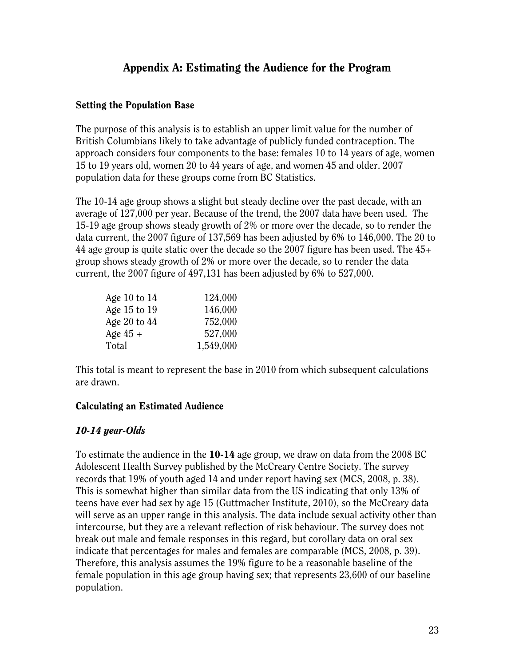## Appendix A: Estimating the Audience for the Program

#### Setting the Population Base

The purpose of this analysis is to establish an upper limit value for the number of British Columbians likely to take advantage of publicly funded contraception. The approach considers four components to the base: females 10 to 14 years of age, women 15 to 19 years old, women 20 to 44 years of age, and women 45 and older. 2007 population data for these groups come from BC Statistics.

The 10-14 age group shows a slight but steady decline over the past decade, with an average of 127,000 per year. Because of the trend, the 2007 data have been used. The 15-19 age group shows steady growth of 2% or more over the decade, so to render the data current, the 2007 figure of 137,569 has been adjusted by 6% to 146,000. The 20 to 44 age group is quite static over the decade so the 2007 figure has been used. The 45+ group shows steady growth of 2% or more over the decade, so to render the data current, the 2007 figure of 497,131 has been adjusted by 6% to 527,000.

| Age 10 to $14$ | 124,000   |
|----------------|-----------|
| Age 15 to 19   | 146,000   |
| Age 20 to $44$ | 752,000   |
| Age $45 +$     | 527,000   |
| Total          | 1,549,000 |

This total is meant to represent the base in 2010 from which subsequent calculations are drawn.

#### Calculating an Estimated Audience

#### *10-14 year-Olds*

To estimate the audience in the  $10-14$  age group, we draw on data from the 2008 BC Adolescent Health Survey published by the McCreary Centre Society. The survey records that 19% of youth aged 14 and under report having sex (MCS, 2008, p. 38). This is somewhat higher than similar data from the US indicating that only 13% of teens have ever had sex by age 15 (Guttmacher Institute, 2010), so the McCreary data will serve as an upper range in this analysis. The data include sexual activity other than intercourse, but they are a relevant reflection of risk behaviour. The survey does not break out male and female responses in this regard, but corollary data on oral sex indicate that percentages for males and females are comparable (MCS, 2008, p. 39). Therefore, this analysis assumes the 19% figure to be a reasonable baseline of the female population in this age group having sex; that represents 23,600 of our baseline population.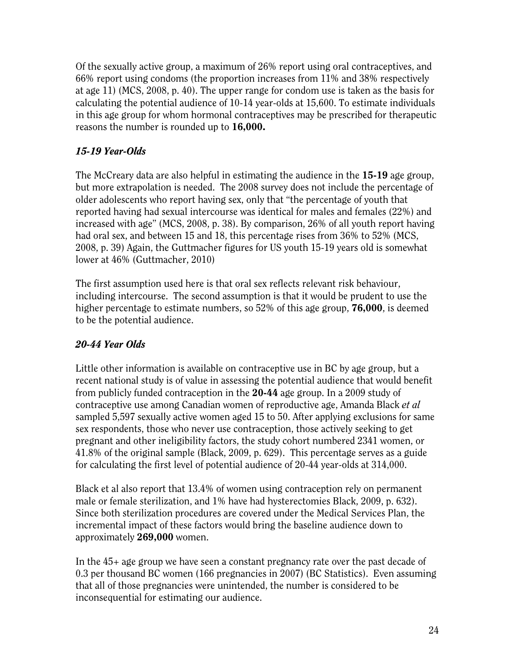Of the sexually active group, a maximum of 26% report using oral contraceptives, and 66% report using condoms (the proportion increases from 11% and 38% respectively at age 11) (MCS, 2008, p. 40). The upper range for condom use is taken as the basis for calculating the potential audience of 10-14 year-olds at 15,600. To estimate individuals in this age group for whom hormonal contraceptives may be prescribed for therapeutic reasons the number is rounded up to 16,000.

## *15-19 Year-Olds*

The McCreary data are also helpful in estimating the audience in the 15-19 age group, but more extrapolation is needed. The 2008 survey does not include the percentage of older adolescents who report having sex, only that "the percentage of youth that reported having had sexual intercourse was identical for males and females (22%) and increased with age" (MCS, 2008, p. 38). By comparison, 26% of all youth report having had oral sex, and between 15 and 18, this percentage rises from 36% to 52% (MCS, 2008, p. 39) Again, the Guttmacher figures for US youth 15-19 years old is somewhat lower at 46% (Guttmacher, 2010)

The first assumption used here is that oral sex reflects relevant risk behaviour, including intercourse. The second assumption is that it would be prudent to use the higher percentage to estimate numbers, so 52% of this age group, 76,000, is deemed to be the potential audience.

#### *20-44 Year Olds*

Little other information is available on contraceptive use in BC by age group, but a recent national study is of value in assessing the potential audience that would benefit from publicly funded contraception in the 20-44 age group. In a 2009 study of contraceptive use among Canadian women of reproductive age, Amanda Black *et al* sampled 5,597 sexually active women aged 15 to 50. After applying exclusions for same sex respondents, those who never use contraception, those actively seeking to get pregnant and other ineligibility factors, the study cohort numbered 2341 women, or 41.8% of the original sample (Black, 2009, p. 629). This percentage serves as a guide for calculating the first level of potential audience of 20-44 year-olds at 314,000.

Black et al also report that 13.4% of women using contraception rely on permanent male or female sterilization, and 1% have had hysterectomies Black, 2009, p. 632). Since both sterilization procedures are covered under the Medical Services Plan, the incremental impact of these factors would bring the baseline audience down to approximately 269,000 women.

In the 45+ age group we have seen a constant pregnancy rate over the past decade of 0.3 per thousand BC women (166 pregnancies in 2007) (BC Statistics). Even assuming that all of those pregnancies were unintended, the number is considered to be inconsequential for estimating our audience.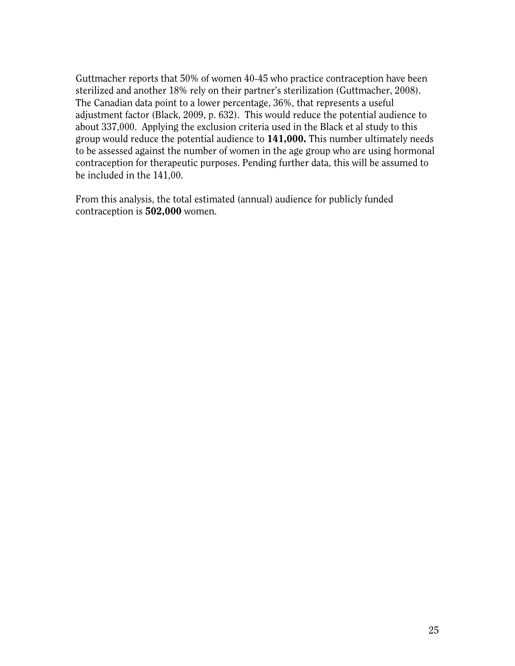Guttmacher reports that 50% of women 40-45 who practice contraception have been sterilized and another 18% rely on their partner's sterilization (Guttmacher, 2008). The Canadian data point to a lower percentage, 36%, that represents a useful adjustment factor (Black, 2009, p. 632). This would reduce the potential audience to about 337,000. Applying the exclusion criteria used in the Black et al study to this group would reduce the potential audience to 141,000. This number ultimately needs to be assessed against the number of women in the age group who are using hormonal contraception for therapeutic purposes. Pending further data, this will be assumed to be included in the 141,00.

From this analysis, the total estimated (annual) audience for publicly funded contraception is 502,000 women.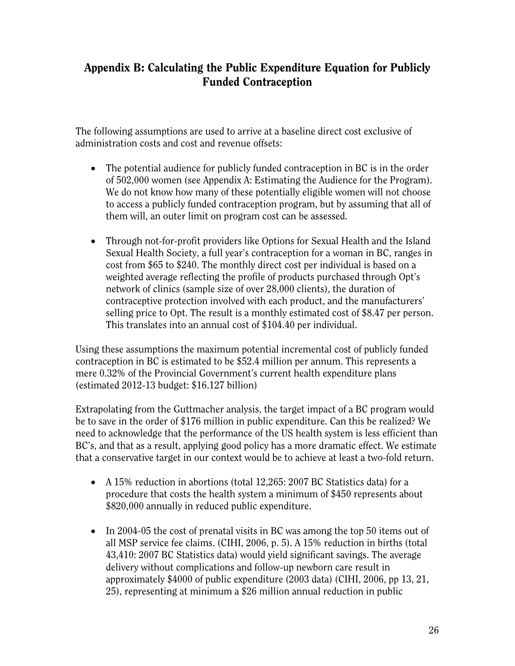## Appendix B: Calculating the Public Expenditure Equation for Publicly Funded Contraception

The following assumptions are used to arrive at a baseline direct cost exclusive of administration costs and cost and revenue offsets:

- The potential audience for publicly funded contraception in BC is in the order of 502,000 women (see Appendix A: Estimating the Audience for the Program). We do not know how many of these potentially eligible women will not choose to access a publicly funded contraception program, but by assuming that all of them will, an outer limit on program cost can be assessed.
- Through not-for-profit providers like Options for Sexual Health and the Island Sexual Health Society, a full year's contraception for a woman in BC, ranges in cost from \$65 to \$240. The monthly direct cost per individual is based on a weighted average reflecting the profile of products purchased through Opt's network of clinics (sample size of over 28,000 clients), the duration of contraceptive protection involved with each product, and the manufacturers' selling price to Opt. The result is a monthly estimated cost of \$8.47 per person. This translates into an annual cost of \$104.40 per individual.

Using these assumptions the maximum potential incremental cost of publicly funded contraception in BC is estimated to be \$52.4 million per annum. This represents a mere 0.32% of the Provincial Government's current health expenditure plans (estimated 2012-13 budget: \$16.127 billion)

Extrapolating from the Guttmacher analysis, the target impact of a BC program would be to save in the order of \$176 million in public expenditure. Can this be realized? We need to acknowledge that the performance of the US health system is less efficient than BC's, and that as a result, applying good policy has a more dramatic effect. We estimate that a conservative target in our context would be to achieve at least a two-fold return.

- A 15% reduction in abortions (total 12,265: 2007 BC Statistics data) for a procedure that costs the health system a minimum of \$450 represents about \$820,000 annually in reduced public expenditure.
- In 2004-05 the cost of prenatal visits in BC was among the top 50 items out of all MSP service fee claims. (CIHI, 2006, p. 5). A 15% reduction in births (total 43,410: 2007 BC Statistics data) would yield significant savings. The average delivery without complications and follow-up newborn care result in approximately \$4000 of public expenditure (2003 data) (CIHI, 2006, pp 13, 21, 25), representing at minimum a \$26 million annual reduction in public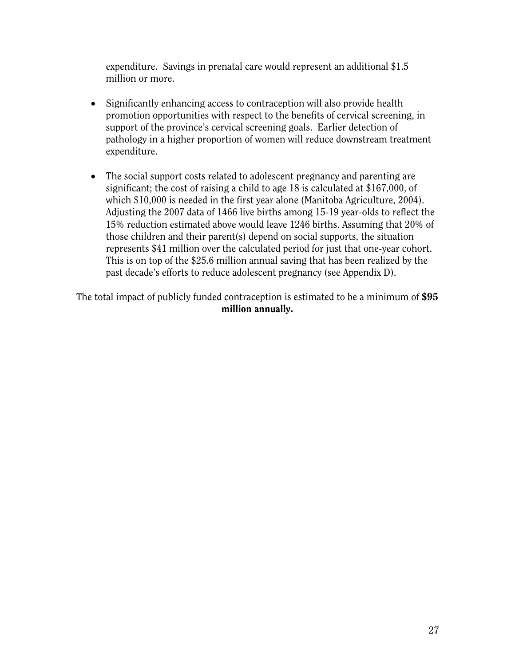expenditure. Savings in prenatal care would represent an additional \$1.5 million or more.

- Significantly enhancing access to contraception will also provide health promotion opportunities with respect to the benefits of cervical screening, in support of the province's cervical screening goals. Earlier detection of pathology in a higher proportion of women will reduce downstream treatment expenditure.
- The social support costs related to adolescent pregnancy and parenting are significant; the cost of raising a child to age 18 is calculated at \$167,000, of which \$10,000 is needed in the first year alone (Manitoba Agriculture, 2004). Adjusting the 2007 data of 1466 live births among 15-19 year-olds to reflect the 15% reduction estimated above would leave 1246 births. Assuming that 20% of those children and their parent(s) depend on social supports, the situation represents \$41 million over the calculated period for just that one-year cohort. This is on top of the \$25.6 million annual saving that has been realized by the past decade's efforts to reduce adolescent pregnancy (see Appendix D).

The total impact of publicly funded contraception is estimated to be a minimum of \$95 million annually.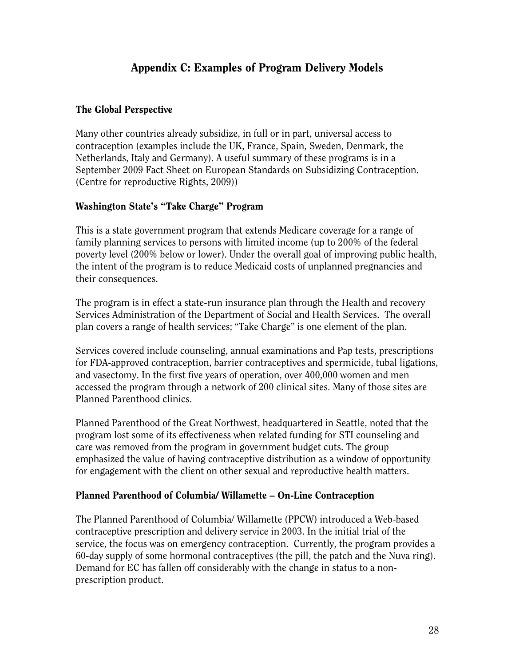## Appendix C: Examples of Program Delivery Models

#### The Global Perspective

Many other countries already subsidize, in full or in part, universal access to contraception (examples include the UK, France, Spain, Sweden, Denmark, the Netherlands, Italy and Germany). A useful summary of these programs is in a September 2009 Fact Sheet on European Standards on Subsidizing Contraception. (Centre for reproductive Rights, 2009))

#### Washington State's "Take Charge" Program

This is a state government program that extends Medicare coverage for a range of family planning services to persons with limited income (up to 200% of the federal poverty level (200% below or lower). Under the overall goal of improving public health, the intent of the program is to reduce Medicaid costs of unplanned pregnancies and their consequences.

The program is in effect a state-run insurance plan through the Health and recovery Services Administration of the Department of Social and Health Services. The overall plan covers a range of health services; "Take Charge" is one element of the plan.

Services covered include counseling, annual examinations and Pap tests, prescriptions for FDA-approved contraception, barrier contraceptives and spermicide, tubal ligations, and vasectomy. In the first five years of operation, over 400,000 women and men accessed the program through a network of 200 clinical sites. Many of those sites are Planned Parenthood clinics.

Planned Parenthood of the Great Northwest, headquartered in Seattle, noted that the program lost some of its effectiveness when related funding for STI counseling and care was removed from the program in government budget cuts. The group emphasized the value of having contraceptive distribution as a window of opportunity for engagement with the client on other sexual and reproductive health matters.

#### Planned Parenthood of Columbia/ Willamette – On-Line Contraception

The Planned Parenthood of Columbia/ Willamette (PPCW) introduced a Web-based contraceptive prescription and delivery service in 2003. In the initial trial of the service, the focus was on emergency contraception. Currently, the program provides a 60-day supply of some hormonal contraceptives (the pill, the patch and the Nuva ring). Demand for EC has fallen off considerably with the change in status to a nonprescription product.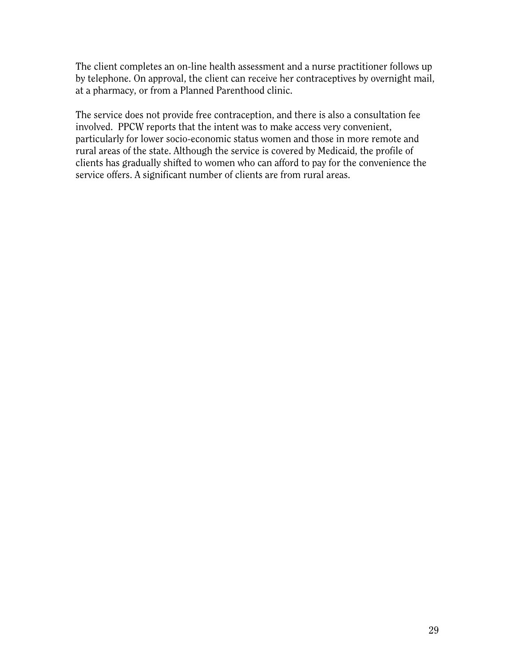The client completes an on-line health assessment and a nurse practitioner follows up by telephone. On approval, the client can receive her contraceptives by overnight mail, at a pharmacy, or from a Planned Parenthood clinic.

The service does not provide free contraception, and there is also a consultation fee involved. PPCW reports that the intent was to make access very convenient, particularly for lower socio-economic status women and those in more remote and rural areas of the state. Although the service is covered by Medicaid, the profile of clients has gradually shifted to women who can afford to pay for the convenience the service offers. A significant number of clients are from rural areas.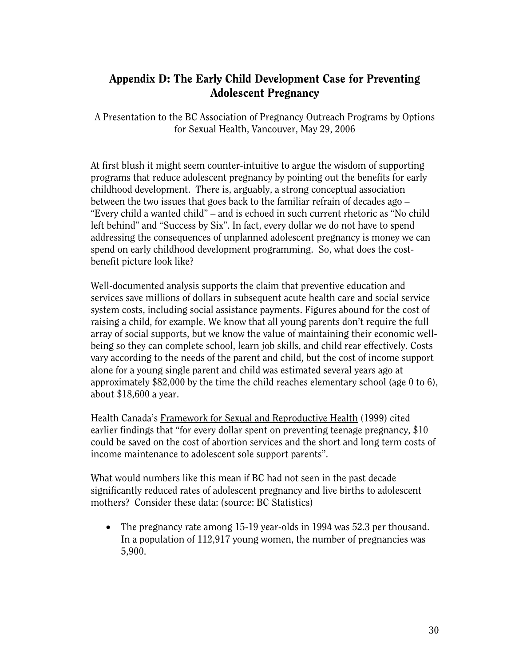## Appendix D: The Early Child Development Case for Preventing Adolescent Pregnancy

A Presentation to the BC Association of Pregnancy Outreach Programs by Options for Sexual Health, Vancouver, May 29, 2006

At first blush it might seem counter-intuitive to argue the wisdom of supporting programs that reduce adolescent pregnancy by pointing out the benefits for early childhood development. There is, arguably, a strong conceptual association between the two issues that goes back to the familiar refrain of decades ago – "Every child a wanted child" – and is echoed in such current rhetoric as "No child left behind" and "Success by Six". In fact, every dollar we do not have to spend addressing the consequences of unplanned adolescent pregnancy is money we can spend on early childhood development programming. So, what does the costbenefit picture look like?

Well-documented analysis supports the claim that preventive education and services save millions of dollars in subsequent acute health care and social service system costs, including social assistance payments. Figures abound for the cost of raising a child, for example. We know that all young parents don't require the full array of social supports, but we know the value of maintaining their economic wellbeing so they can complete school, learn job skills, and child rear effectively. Costs vary according to the needs of the parent and child, but the cost of income support alone for a young single parent and child was estimated several years ago at approximately \$82,000 by the time the child reaches elementary school (age 0 to 6), about \$18,600 a year.

Health Canada's Framework for Sexual and Reproductive Health (1999) cited earlier findings that "for every dollar spent on preventing teenage pregnancy, \$10 could be saved on the cost of abortion services and the short and long term costs of income maintenance to adolescent sole support parents".

What would numbers like this mean if BC had not seen in the past decade significantly reduced rates of adolescent pregnancy and live births to adolescent mothers? Consider these data: (source: BC Statistics)

• The pregnancy rate among 15-19 year-olds in 1994 was 52.3 per thousand. In a population of 112,917 young women, the number of pregnancies was 5,900.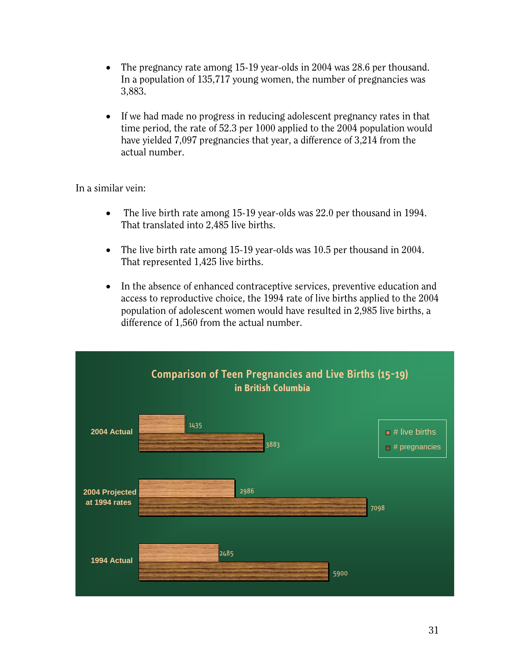- The pregnancy rate among 15-19 year-olds in 2004 was 28.6 per thousand. In a population of 135,717 young women, the number of pregnancies was 3,883.
- If we had made no progress in reducing adolescent pregnancy rates in that time period, the rate of 52.3 per 1000 applied to the 2004 population would have yielded 7,097 pregnancies that year, a difference of 3,214 from the actual number.

In a similar vein:

- The live birth rate among 15-19 year-olds was 22.0 per thousand in 1994. That translated into 2,485 live births.
- The live birth rate among 15-19 year-olds was 10.5 per thousand in 2004. That represented 1,425 live births.
- In the absence of enhanced contraceptive services, preventive education and access to reproductive choice, the 1994 rate of live births applied to the 2004 population of adolescent women would have resulted in 2,985 live births, a difference of 1,560 from the actual number.

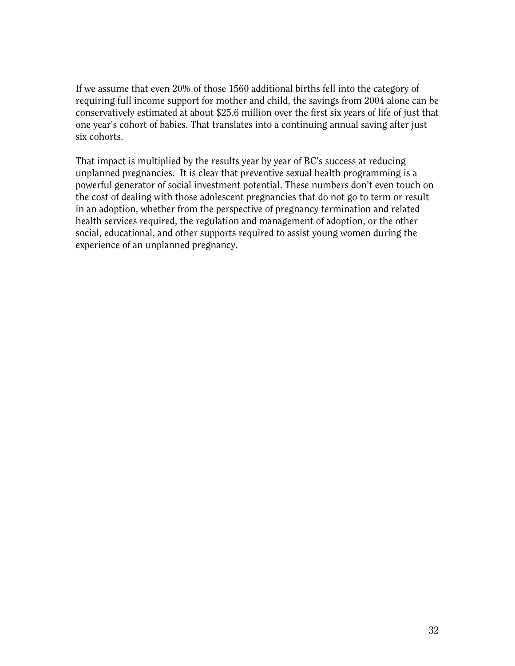If we assume that even 20% of those 1560 additional births fell into the category of requiring full income support for mother and child, the savings from 2004 alone can be conservatively estimated at about \$25.6 million over the first six years of life of just that one year's cohort of babies. That translates into a continuing annual saving after just six cohorts.

That impact is multiplied by the results year by year of BC's success at reducing unplanned pregnancies. It is clear that preventive sexual health programming is a powerful generator of social investment potential. These numbers don't even touch on the cost of dealing with those adolescent pregnancies that do not go to term or result in an adoption, whether from the perspective of pregnancy termination and related health services required, the regulation and management of adoption, or the other social, educational, and other supports required to assist young women during the experience of an unplanned pregnancy.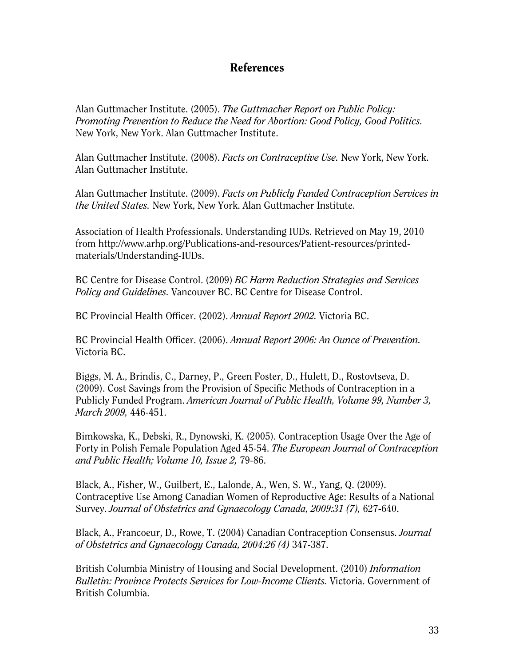## References

Alan Guttmacher Institute. (2005). *The Guttmacher Report on Public Policy: Promoting Prevention to Reduce the Need for Abortion: Good Policy, Good Politics.* New York, New York. Alan Guttmacher Institute.

Alan Guttmacher Institute. (2008). *Facts on Contraceptive Use.* New York, New York. Alan Guttmacher Institute.

Alan Guttmacher Institute. (2009). *Facts on Publicly Funded Contraception Services in the United States.* New York, New York. Alan Guttmacher Institute.

Association of Health Professionals. Understanding IUDs. Retrieved on May 19, 2010 from http://www.arhp.org/Publications-and-resources/Patient-resources/printedmaterials/Understanding-IUDs.

BC Centre for Disease Control. (2009) *BC Harm Reduction Strategies and Services Policy and Guidelines.* Vancouver BC. BC Centre for Disease Control.

BC Provincial Health Officer. (2002). *Annual Report 2002.* Victoria BC.

BC Provincial Health Officer. (2006). *Annual Report 2006: An Ounce of Prevention.*  Victoria BC.

Biggs, M. A., Brindis, C., Darney, P., Green Foster, D., Hulett, D., Rostovtseva, D. (2009). Cost Savings from the Provision of Specific Methods of Contraception in a Publicly Funded Program. *American Journal of Public Health, Volume 99, Number 3, March 2009,* 446-451.

Bimkowska, K., Debski, R., Dynowski, K. (2005). Contraception Usage Over the Age of Forty in Polish Female Population Aged 45-54. *The European Journal of Contraception and Public Health; Volume 10, Issue 2,* 79-86.

Black, A., Fisher, W., Guilbert, E., Lalonde, A., Wen, S. W., Yang, Q. (2009). Contraceptive Use Among Canadian Women of Reproductive Age: Results of a National Survey. *Journal of Obstetrics and Gynaecology Canada, 2009:31 (7),* 627-640.

Black, A., Francoeur, D., Rowe, T. (2004) Canadian Contraception Consensus. *Journal of Obstetrics and Gynaecology Canada, 2004:26 (4)* 347-387.

British Columbia Ministry of Housing and Social Development. (2010) *Information Bulletin: Province Protects Services for Low-Income Clients. Victoria. Government of* British Columbia.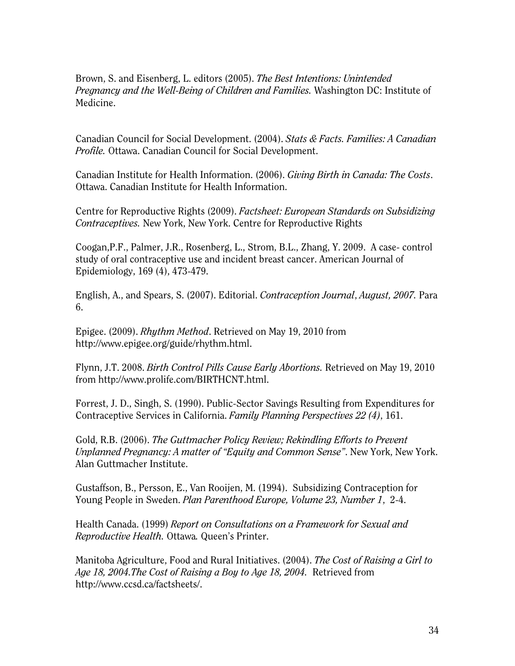Brown, S. and Eisenberg, L. editors (2005). *The Best Intentions: Unintended Pregnancy and the Well-Being of Children and Families.* Washington DC: Institute of Medicine.

Canadian Council for Social Development. (2004). *Stats & Facts. Families: A Canadian Profile.* Ottawa. Canadian Council for Social Development.

Canadian Institute for Health Information. (2006). *Giving Birth in Canada: The Costs*. Ottawa. Canadian Institute for Health Information.

Centre for Reproductive Rights (2009). *Factsheet: European Standards on Subsidizing Contraceptives.* New York, New York. Centre for Reproductive Rights

Coogan,P.F., Palmer, J.R., Rosenberg, L., Strom, B.L., Zhang, Y. 2009. A case- control study of oral contraceptive use and incident breast cancer. American Journal of Epidemiology, 169 (4), 473-479.

English, A., and Spears, S. (2007). Editorial. *Contraception Journal*, *August, 2007.* Para 6.

Epigee. (2009). *Rhythm Method*. Retrieved on May 19, 2010 from http://www.epigee.org/guide/rhythm.html.

Flynn, J.T. 2008. *Birth Control Pills Cause Early Abortions.* Retrieved on May 19, 2010 from http://www.prolife.com/BIRTHCNT.html.

Forrest, J. D., Singh, S. (1990). Public-Sector Savings Resulting from Expenditures for Contraceptive Services in California. *Family Planning Perspectives 22 (4)*, 161.

Gold, R.B. (2006). *The Guttmacher Policy Review; Rekindling Efforts to Prevent Unplanned Pregnancy: A matter of "Equity and Common Sense"*. New York, New York. Alan Guttmacher Institute.

Gustaffson, B., Persson, E., Van Rooijen, M. (1994). Subsidizing Contraception for Young People in Sweden. *Plan Parenthood Europe, Volume 23, Number 1*, 2-4.

Health Canada. (1999) *Report on Consultations on a Framework for Sexual and Reproductive Health.* Ottawa*.* Queen's Printer.

Manitoba Agriculture, Food and Rural Initiatives. (2004). *The Cost of Raising a Girl to Age 18, 2004.The Cost of Raising a Boy to Age 18, 2004.* Retrieved from http://www.ccsd.ca/factsheets/.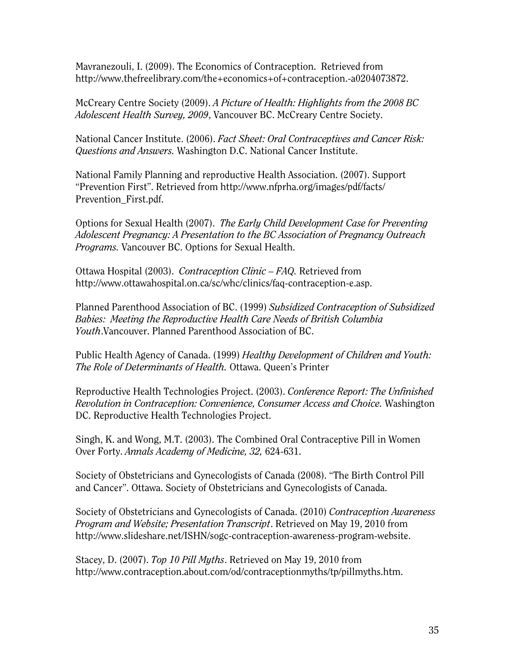Mavranezouli, I. (2009). The Economics of Contraception. Retrieved from http://www.thefreelibrary.com/the+economics+of+contraception.-a0204073872.

McCreary Centre Society (2009). *A Picture of Health: Highlights from the 2008 BC Adolescent Health Survey, 2009*, Vancouver BC. McCreary Centre Society.

National Cancer Institute. (2006). *Fact Sheet: Oral Contraceptives and Cancer Risk: Questions and Answers.* Washington D.C. National Cancer Institute.

National Family Planning and reproductive Health Association. (2007). Support "Prevention First". Retrieved from http://www.nfprha.org/images/pdf/facts/ Prevention\_First.pdf.

Options for Sexual Health (2007). *The Early Child Development Case for Preventing Adolescent Pregnancy: A Presentation to the BC Association of Pregnancy Outreach Programs.* Vancouver BC. Options for Sexual Health.

Ottawa Hospital (2003). *Contraception Clinic – FAQ.* Retrieved from http://www.ottawahospital.on.ca/sc/whc/clinics/faq-contraception-e.asp.

Planned Parenthood Association of BC. (1999) *Subsidized Contraception of Subsidized Babies: Meeting the Reproductive Health Care Needs of British Columbia Youth*.Vancouver. Planned Parenthood Association of BC.

Public Health Agency of Canada. (1999) *Healthy Development of Children and Youth: The Role of Determinants of Health.* Ottawa. Queen's Printer

Reproductive Health Technologies Project. (2003). *Conference Report: The Unfinished Revolution in Contraception: Convenience, Consumer Access and Choice.* Washington DC. Reproductive Health Technologies Project.

Singh, K. and Wong, M.T. (2003). The Combined Oral Contraceptive Pill in Women Over Forty. *Annals Academy of Medicine, 32,* 624-631.

Society of Obstetricians and Gynecologists of Canada (2008). "The Birth Control Pill and Cancer". Ottawa. Society of Obstetricians and Gynecologists of Canada.

Society of Obstetricians and Gynecologists of Canada. (2010) *Contraception Awareness Program and Website; Presentation Transcript*. Retrieved on May 19, 2010 from http://www.slideshare.net/ISHN/sogc-contraception-awareness-program-website.

Stacey, D. (2007). *Top 10 Pill Myths*. Retrieved on May 19, 2010 from http://www.contraception.about.com/od/contraceptionmyths/tp/pillmyths.htm.